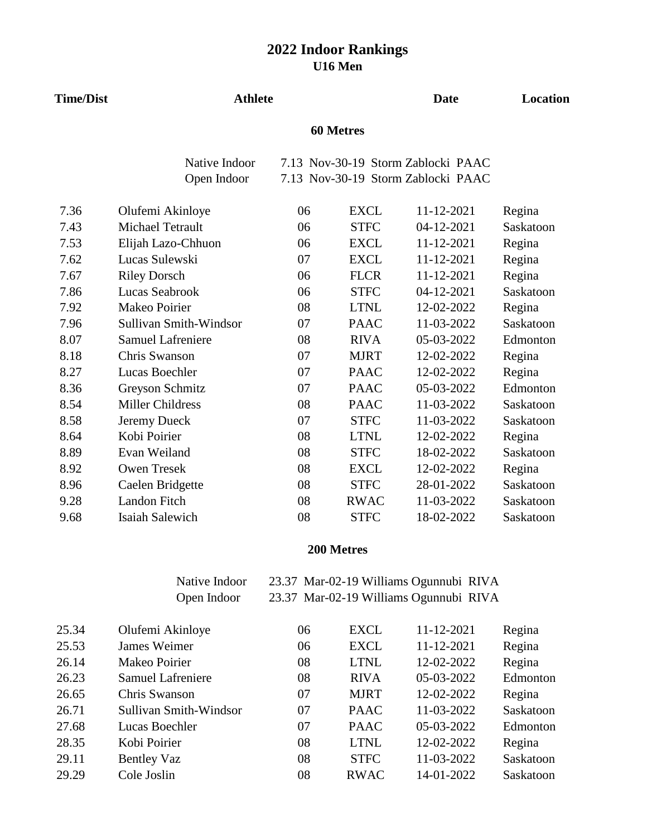| <b>Time/Dist</b> | <b>Athlete</b>                |    |             | <b>Date</b>                                                              | <b>Location</b> |
|------------------|-------------------------------|----|-------------|--------------------------------------------------------------------------|-----------------|
|                  |                               |    |             |                                                                          |                 |
|                  | Native Indoor                 |    |             | 7.13 Nov-30-19 Storm Zablocki PAAC<br>7.13 Nov-30-19 Storm Zablocki PAAC |                 |
|                  | Open Indoor                   |    |             |                                                                          |                 |
| 7.36             | Olufemi Akinloye              | 06 | <b>EXCL</b> | 11-12-2021                                                               | Regina          |
| 7.43             | <b>Michael Tetrault</b>       | 06 | <b>STFC</b> | 04-12-2021                                                               | Saskatoon       |
| 7.53             | Elijah Lazo-Chhuon            | 06 | <b>EXCL</b> | 11-12-2021                                                               | Regina          |
| 7.62             | Lucas Sulewski                | 07 | <b>EXCL</b> | 11-12-2021                                                               | Regina          |
| 7.67             | <b>Riley Dorsch</b>           | 06 | <b>FLCR</b> | 11-12-2021                                                               | Regina          |
| 7.86             | Lucas Seabrook                | 06 | <b>STFC</b> | 04-12-2021                                                               | Saskatoon       |
| 7.92             | Makeo Poirier                 | 08 | <b>LTNL</b> | 12-02-2022                                                               | Regina          |
| 7.96             | <b>Sullivan Smith-Windsor</b> | 07 | <b>PAAC</b> | 11-03-2022                                                               | Saskatoon       |
| 8.07             | <b>Samuel Lafreniere</b>      | 08 | <b>RIVA</b> | 05-03-2022                                                               | Edmonton        |
| 8.18             | <b>Chris Swanson</b>          | 07 | <b>MJRT</b> | 12-02-2022                                                               | Regina          |
| 8.27             | Lucas Boechler                | 07 | <b>PAAC</b> | 12-02-2022                                                               | Regina          |
| 8.36             | Greyson Schmitz               | 07 | <b>PAAC</b> | 05-03-2022                                                               | Edmonton        |
| 8.54             | <b>Miller Childress</b>       | 08 | <b>PAAC</b> | 11-03-2022                                                               | Saskatoon       |
| 8.58             | Jeremy Dueck                  | 07 | <b>STFC</b> | 11-03-2022                                                               | Saskatoon       |
| 8.64             | Kobi Poirier                  | 08 | <b>LTNL</b> | 12-02-2022                                                               | Regina          |
| 8.89             | Evan Weiland                  | 08 | <b>STFC</b> | 18-02-2022                                                               | Saskatoon       |
| 8.92             | <b>Owen Tresek</b>            | 08 | <b>EXCL</b> | 12-02-2022                                                               | Regina          |
| 8.96             | Caelen Bridgette              | 08 | <b>STFC</b> | 28-01-2022                                                               | Saskatoon       |
| 9.28             | <b>Landon Fitch</b>           | 08 | <b>RWAC</b> | 11-03-2022                                                               | Saskatoon       |
| 9.68             | <b>Isaiah Salewich</b>        | 08 | <b>STFC</b> | 18-02-2022                                                               | Saskatoon       |

### **200 Metres**

Native Indoor 23.37 Mar-02-19 Williams Ogunnubi RIVA Open Indoor 23.37 Mar-02-19 Williams Ogunnubi RIVA

| 25.34 | Olufemi Akinloye         | 06 | <b>EXCL</b> | 11-12-2021 | Regina    |
|-------|--------------------------|----|-------------|------------|-----------|
| 25.53 | James Weimer             | 06 | <b>EXCL</b> | 11-12-2021 | Regina    |
| 26.14 | Makeo Poirier            | 08 | <b>LTNL</b> | 12-02-2022 | Regina    |
| 26.23 | <b>Samuel Lafreniere</b> | 08 | <b>RIVA</b> | 05-03-2022 | Edmonton  |
| 26.65 | Chris Swanson            | 07 | <b>MJRT</b> | 12-02-2022 | Regina    |
| 26.71 | Sullivan Smith-Windsor   | 07 | <b>PAAC</b> | 11-03-2022 | Saskatoon |
| 27.68 | Lucas Boechler           | 07 | <b>PAAC</b> | 05-03-2022 | Edmonton  |
| 28.35 | Kobi Poirier             | 08 | <b>LTNL</b> | 12-02-2022 | Regina    |
| 29.11 | <b>Bentley Vaz</b>       | 08 | <b>STFC</b> | 11-03-2022 | Saskatoon |
| 29.29 | Cole Joslin              | 08 | <b>RWAC</b> | 14-01-2022 | Saskatoon |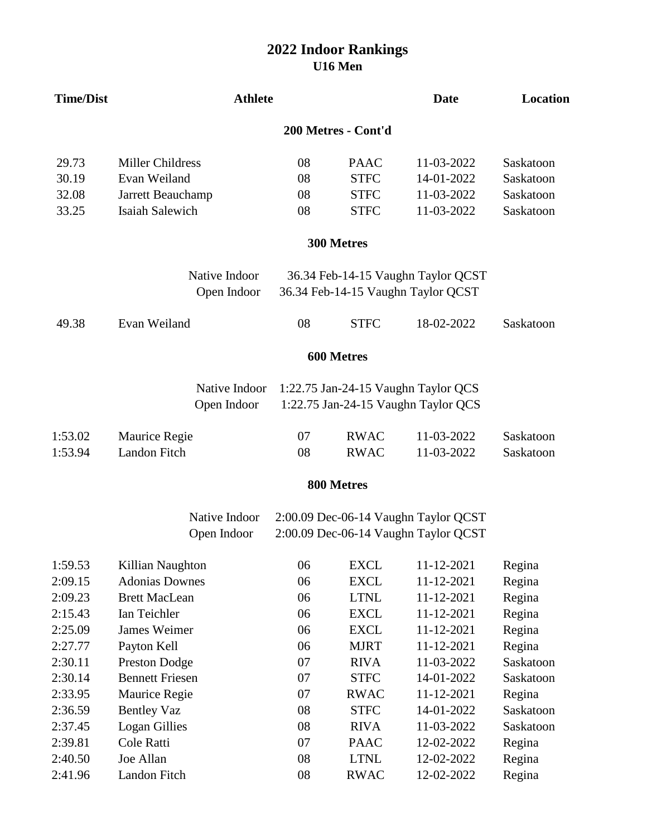### **U16 Men 2022 Indoor Rankings**

| <b>Time/Dist</b> | <b>Athlete</b>          |    |                     | <b>Date</b>                          | Location  |
|------------------|-------------------------|----|---------------------|--------------------------------------|-----------|
|                  |                         |    | 200 Metres - Cont'd |                                      |           |
| 29.73            | <b>Miller Childress</b> | 08 | <b>PAAC</b>         | 11-03-2022                           | Saskatoon |
| 30.19            | Evan Weiland            | 08 | <b>STFC</b>         | 14-01-2022                           | Saskatoon |
| 32.08            | Jarrett Beauchamp       | 08 | <b>STFC</b>         | 11-03-2022                           | Saskatoon |
| 33.25            | Isaiah Salewich         | 08 | <b>STFC</b>         | 11-03-2022                           | Saskatoon |
|                  |                         |    | 300 Metres          |                                      |           |
|                  | Native Indoor           |    |                     | 36.34 Feb-14-15 Vaughn Taylor QCST   |           |
|                  | Open Indoor             |    |                     | 36.34 Feb-14-15 Vaughn Taylor QCST   |           |
| 49.38            | Evan Weiland            | 08 | <b>STFC</b>         | 18-02-2022                           | Saskatoon |
|                  |                         |    | 600 Metres          |                                      |           |
|                  | Native Indoor           |    |                     | 1:22.75 Jan-24-15 Vaughn Taylor QCS  |           |
|                  | Open Indoor             |    |                     | 1:22.75 Jan-24-15 Vaughn Taylor QCS  |           |
| 1:53.02          | Maurice Regie           | 07 | <b>RWAC</b>         | 11-03-2022                           | Saskatoon |
| 1:53.94          | Landon Fitch            | 08 | <b>RWAC</b>         | 11-03-2022                           | Saskatoon |
|                  |                         |    | 800 Metres          |                                      |           |
|                  | Native Indoor           |    |                     | 2:00.09 Dec-06-14 Vaughn Taylor QCST |           |
|                  | Open Indoor             |    |                     | 2:00.09 Dec-06-14 Vaughn Taylor QCST |           |
| 1:59.53          | Killian Naughton        | 06 | <b>EXCL</b>         | 11-12-2021                           | Regina    |
| 2:09.15          | <b>Adonias Downes</b>   | 06 | <b>EXCL</b>         | 11-12-2021                           | Regina    |
| 2:09.23          | <b>Brett MacLean</b>    | 06 | <b>LTNL</b>         | 11-12-2021                           | Regina    |
| 2:15.43          | Ian Teichler            | 06 | <b>EXCL</b>         | 11-12-2021                           | Regina    |
| 2:25.09          | <b>James Weimer</b>     | 06 | <b>EXCL</b>         | 11-12-2021                           | Regina    |
| 2:27.77          | Payton Kell             | 06 | <b>MJRT</b>         | 11-12-2021                           | Regina    |
| 2:30.11          | <b>Preston Dodge</b>    | 07 | <b>RIVA</b>         | 11-03-2022                           | Saskatoon |
| 2:30.14          | <b>Bennett Friesen</b>  | 07 | <b>STFC</b>         | 14-01-2022                           | Saskatoon |
| 2:33.95          | Maurice Regie           | 07 | <b>RWAC</b>         | 11-12-2021                           | Regina    |
| 2:36.59          | <b>Bentley Vaz</b>      | 08 | <b>STFC</b>         | 14-01-2022                           | Saskatoon |
| 2:37.45          | <b>Logan Gillies</b>    | 08 | <b>RIVA</b>         | 11-03-2022                           | Saskatoon |
| 2:39.81          | Cole Ratti              | 07 | <b>PAAC</b>         | 12-02-2022                           | Regina    |
| 2:40.50          | Joe Allan               | 08 | <b>LTNL</b>         | 12-02-2022                           | Regina    |
| 2:41.96          | Landon Fitch            | 08 | <b>RWAC</b>         | 12-02-2022                           | Regina    |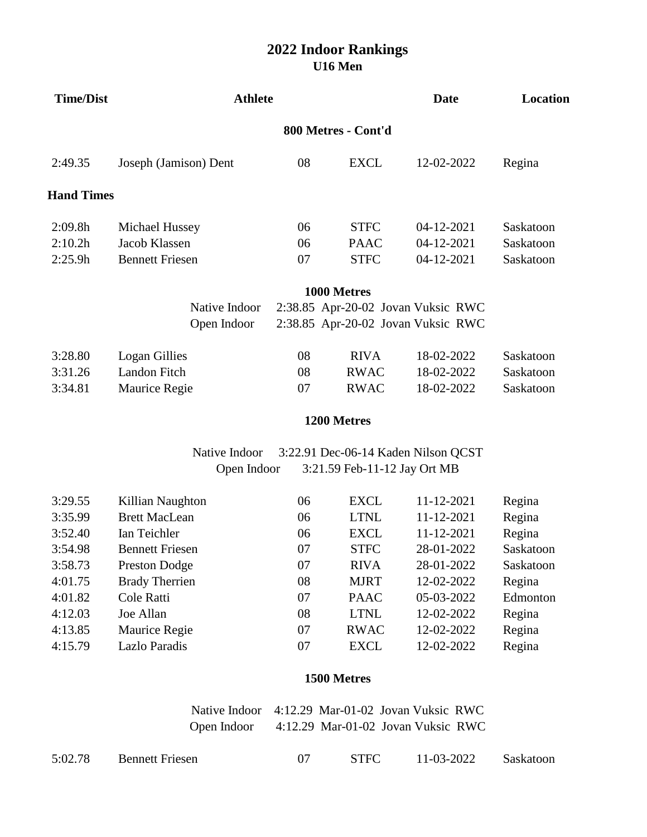| <b>Time/Dist</b>    | <b>Athlete</b>         |    |             | <b>Date</b>                        | Location  |  |  |  |
|---------------------|------------------------|----|-------------|------------------------------------|-----------|--|--|--|
| 800 Metres - Cont'd |                        |    |             |                                    |           |  |  |  |
| 2:49.35             | Joseph (Jamison) Dent  | 08 | <b>EXCL</b> | 12-02-2022                         | Regina    |  |  |  |
| <b>Hand Times</b>   |                        |    |             |                                    |           |  |  |  |
| 2:09.8h             | Michael Hussey         | 06 | <b>STFC</b> | 04-12-2021                         | Saskatoon |  |  |  |
| 2:10.2h             | Jacob Klassen          | 06 | <b>PAAC</b> | 04-12-2021                         | Saskatoon |  |  |  |
| 2:25.9h             | <b>Bennett Friesen</b> | 07 | <b>STFC</b> | 04-12-2021                         | Saskatoon |  |  |  |
|                     |                        |    | 1000 Metres |                                    |           |  |  |  |
|                     | Native Indoor          |    |             | 2:38.85 Apr-20-02 Jovan Vuksic RWC |           |  |  |  |
|                     | Open Indoor            |    |             | 2:38.85 Apr-20-02 Jovan Vuksic RWC |           |  |  |  |
| 3:28.80             | Logan Gillies          | 08 | <b>RIVA</b> | 18-02-2022                         | Saskatoon |  |  |  |
| 3:31.26             | Landon Fitch           | 08 | <b>RWAC</b> | 18-02-2022                         | Saskatoon |  |  |  |
| 3:34.81             | <b>Maurice Regie</b>   | 07 | <b>RWAC</b> | 18-02-2022                         | Saskatoon |  |  |  |

#### **1200 Metres**

Open Indoor 3:21.59 Feb-11-12 Jay Ort MB Native Indoor 3:22.91 Dec-06-14 Kaden Nilson QCST

| 3:29.55 | Killian Naughton       | 06 | <b>EXCL</b> | 11-12-2021 | Regina    |
|---------|------------------------|----|-------------|------------|-----------|
| 3:35.99 | <b>Brett MacLean</b>   | 06 | <b>LTNL</b> | 11-12-2021 | Regina    |
| 3:52.40 | Ian Teichler           | 06 | <b>EXCL</b> | 11-12-2021 | Regina    |
| 3:54.98 | <b>Bennett Friesen</b> | 07 | <b>STFC</b> | 28-01-2022 | Saskatoon |
| 3:58.73 | <b>Preston Dodge</b>   | 07 | <b>RIVA</b> | 28-01-2022 | Saskatoon |
| 4:01.75 | <b>Brady Therrien</b>  | 08 | <b>MJRT</b> | 12-02-2022 | Regina    |
| 4:01.82 | Cole Ratti             | 07 | <b>PAAC</b> | 05-03-2022 | Edmonton  |
| 4:12.03 | Joe Allan              | 08 | <b>LTNL</b> | 12-02-2022 | Regina    |
| 4:13.85 | Maurice Regie          | 07 | <b>RWAC</b> | 12-02-2022 | Regina    |
| 4:15.79 | Lazlo Paradis          | 07 | <b>EXCL</b> | 12-02-2022 | Regina    |
|         |                        |    |             |            |           |

#### **1500 Metres**

Native Indoor 4:12.29 Mar-01-02 Jovan Vuksic RWC Open Indoor 4:12.29 Mar-01-02 Jovan Vuksic RWC

| 5:02.78 | <b>Bennett Friesen</b> | <b>STFC</b> | 11-03-2022 | Saskatoon |
|---------|------------------------|-------------|------------|-----------|
|         |                        |             |            |           |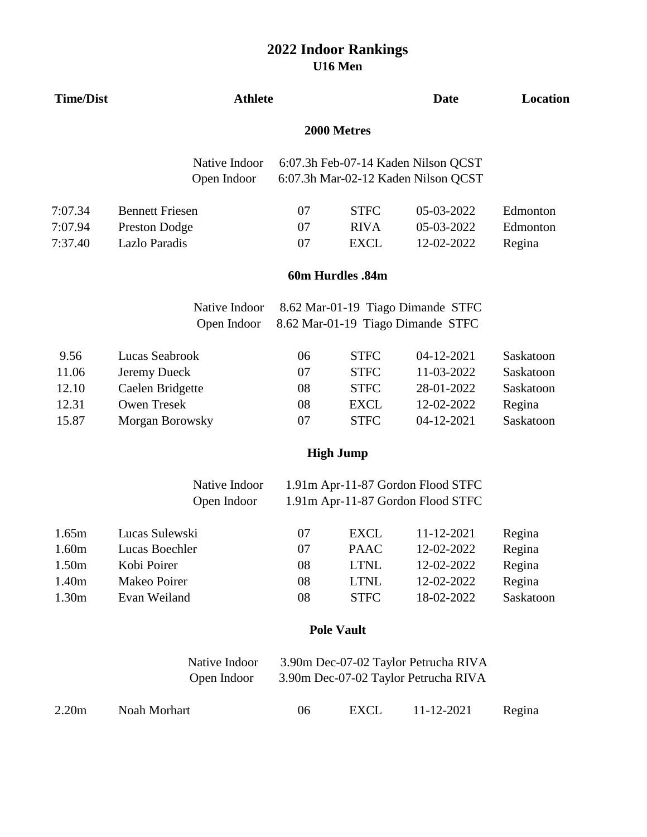| <b>Time/Dist</b> | <b>Athlete</b>               |    |                   | <b>Date</b>                                                                | Location  |
|------------------|------------------------------|----|-------------------|----------------------------------------------------------------------------|-----------|
|                  |                              |    |                   |                                                                            |           |
|                  | Native Indoor<br>Open Indoor |    |                   | 6:07.3h Feb-07-14 Kaden Nilson QCST<br>6:07.3h Mar-02-12 Kaden Nilson QCST |           |
| 7:07.34          | <b>Bennett Friesen</b>       | 07 | <b>STFC</b>       | 05-03-2022                                                                 | Edmonton  |
| 7:07.94          | <b>Preston Dodge</b>         | 07 | <b>RIVA</b>       | 05-03-2022                                                                 | Edmonton  |
| 7:37.40          | Lazlo Paradis                | 07 | <b>EXCL</b>       | 12-02-2022                                                                 | Regina    |
|                  |                              |    | 60m Hurdles .84m  |                                                                            |           |
|                  | Native Indoor                |    |                   | 8.62 Mar-01-19 Tiago Dimande STFC                                          |           |
|                  | Open Indoor                  |    |                   | 8.62 Mar-01-19 Tiago Dimande STFC                                          |           |
| 9.56             | Lucas Seabrook               | 06 | <b>STFC</b>       | 04-12-2021                                                                 | Saskatoon |
| 11.06            | Jeremy Dueck                 | 07 | <b>STFC</b>       | 11-03-2022                                                                 | Saskatoon |
| 12.10            | Caelen Bridgette             | 08 | <b>STFC</b>       | 28-01-2022                                                                 | Saskatoon |
| 12.31            | <b>Owen Tresek</b>           | 08 | <b>EXCL</b>       | 12-02-2022                                                                 | Regina    |
| 15.87            | Morgan Borowsky              | 07 | <b>STFC</b>       | 04-12-2021                                                                 | Saskatoon |
|                  |                              |    | <b>High Jump</b>  |                                                                            |           |
|                  | Native Indoor                |    |                   | 1.91m Apr-11-87 Gordon Flood STFC                                          |           |
|                  | Open Indoor                  |    |                   | 1.91m Apr-11-87 Gordon Flood STFC                                          |           |
| 1.65m            | Lucas Sulewski               | 07 | <b>EXCL</b>       | 11-12-2021                                                                 | Regina    |
| 1.60m            | Lucas Boechler               | 07 | <b>PAAC</b>       | 12-02-2022                                                                 | Regina    |
| 1.50m            | Kobi Poirer                  | 08 | <b>LTNL</b>       | 12-02-2022                                                                 | Regina    |
| 1.40m            | Makeo Poirer                 | 08 | <b>LTNL</b>       | 12-02-2022                                                                 | Regina    |
| 1.30m            | Evan Weiland                 | 08 | <b>STFC</b>       | 18-02-2022                                                                 | Saskatoon |
|                  |                              |    | <b>Pole Vault</b> |                                                                            |           |
|                  | Native Indoor                |    |                   | 3.90m Dec-07-02 Taylor Petrucha RIVA                                       |           |
|                  | Open Indoor                  |    |                   | 3.90m Dec-07-02 Taylor Petrucha RIVA                                       |           |
| 2.20m            | Noah Morhart                 | 06 | <b>EXCL</b>       | 11-12-2021                                                                 | Regina    |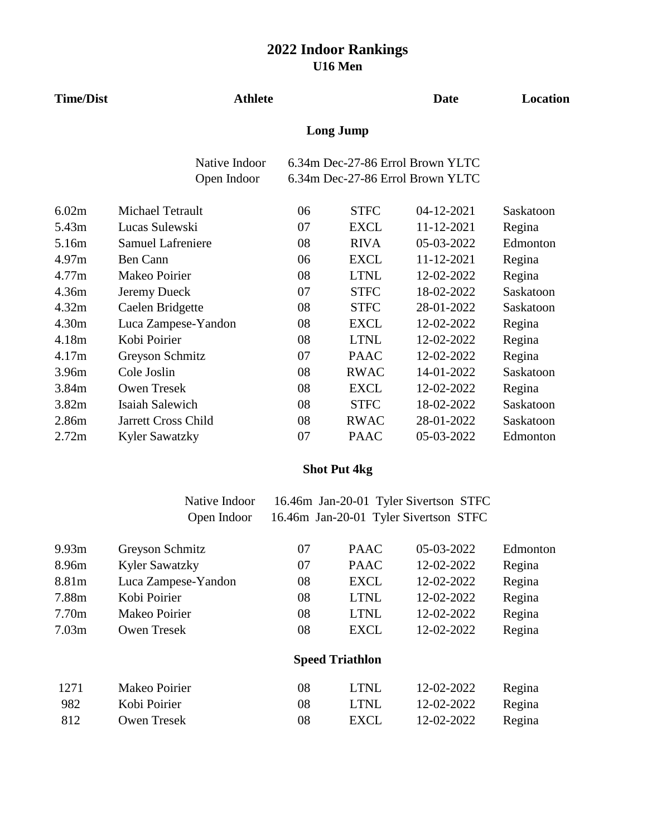| <b>Time/Dist</b> | <b>Athlete</b>               |    |                  | <b>Date</b>                                                          | Location  |
|------------------|------------------------------|----|------------------|----------------------------------------------------------------------|-----------|
|                  |                              |    | <b>Long Jump</b> |                                                                      |           |
|                  | Native Indoor<br>Open Indoor |    |                  | 6.34m Dec-27-86 Errol Brown YLTC<br>6.34m Dec-27-86 Errol Brown YLTC |           |
|                  |                              |    |                  |                                                                      |           |
| 6.02m            | Michael Tetrault             | 06 | <b>STFC</b>      | 04-12-2021                                                           | Saskatoon |
| 5.43m            | Lucas Sulewski               | 07 | <b>EXCL</b>      | 11-12-2021                                                           | Regina    |
| 5.16m            | <b>Samuel Lafreniere</b>     | 08 | <b>RIVA</b>      | 05-03-2022                                                           | Edmonton  |
| 4.97m            | <b>Ben Cann</b>              | 06 | <b>EXCL</b>      | 11-12-2021                                                           | Regina    |
| 4.77m            | Makeo Poirier                | 08 | <b>LTNL</b>      | 12-02-2022                                                           | Regina    |
| 4.36m            | Jeremy Dueck                 | 07 | <b>STFC</b>      | 18-02-2022                                                           | Saskatoon |
| 4.32m            | Caelen Bridgette             | 08 | <b>STFC</b>      | 28-01-2022                                                           | Saskatoon |
| 4.30m            | Luca Zampese-Yandon          | 08 | <b>EXCL</b>      | 12-02-2022                                                           | Regina    |
| 4.18m            | Kobi Poirier                 | 08 | <b>LTNL</b>      | 12-02-2022                                                           | Regina    |
| 4.17m            | Greyson Schmitz              | 07 | <b>PAAC</b>      | 12-02-2022                                                           | Regina    |
| 3.96m            | Cole Joslin                  | 08 | <b>RWAC</b>      | 14-01-2022                                                           | Saskatoon |
| 3.84m            | <b>Owen Tresek</b>           | 08 | <b>EXCL</b>      | 12-02-2022                                                           | Regina    |
| 3.82m            | Isaiah Salewich              | 08 | <b>STFC</b>      | 18-02-2022                                                           | Saskatoon |
| 2.86m            | Jarrett Cross Child          | 08 | <b>RWAC</b>      | 28-01-2022                                                           | Saskatoon |
| 2.72m            | <b>Kyler Sawatzky</b>        | 07 | <b>PAAC</b>      | 05-03-2022                                                           | Edmonton  |

# **Shot Put 4kg**

| Native Indoor | 16.46m Jan-20-01 Tyler Sivertson STFC |  |
|---------------|---------------------------------------|--|
| Open Indoor   | 16.46m Jan-20-01 Tyler Sivertson STFC |  |

| 9.93 <sub>m</sub> | Greyson Schmitz       | 07 | <b>PAAC</b>            | 05-03-2022 | Edmonton |
|-------------------|-----------------------|----|------------------------|------------|----------|
| 8.96m             | <b>Kyler Sawatzky</b> | 07 | <b>PAAC</b>            | 12-02-2022 | Regina   |
| 8.81m             | Luca Zampese-Yandon   | 08 | <b>EXCL</b>            | 12-02-2022 | Regina   |
| 7.88m             | Kobi Poirier          | 08 | <b>LTNL</b>            | 12-02-2022 | Regina   |
| 7.70m             | Makeo Poirier         | 08 | <b>LTNL</b>            | 12-02-2022 | Regina   |
| 7.03 <sub>m</sub> | <b>Owen Tresek</b>    | 08 | <b>EXCL</b>            | 12-02-2022 | Regina   |
|                   |                       |    | <b>Speed Triathlon</b> |            |          |
| 1271              | Makeo Poirier         | 08 | <b>LTNL</b>            | 12-02-2022 | Regina   |
| 982               | Kobi Poirier          | 08 | <b>LTNL</b>            | 12-02-2022 | Regina   |
| 812               | <b>Owen Tresek</b>    | 08 | EXCL                   | 12-02-2022 | Regina   |